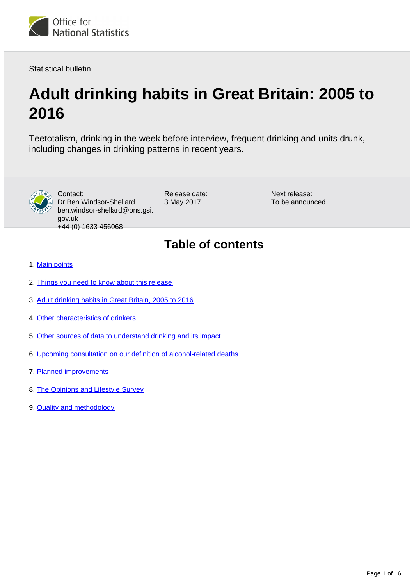

Statistical bulletin

# **Adult drinking habits in Great Britain: 2005 to 2016**

Teetotalism, drinking in the week before interview, frequent drinking and units drunk, including changes in drinking patterns in recent years.



Contact: Dr Ben Windsor-Shellard ben.windsor-shellard@ons.gsi. gov.uk +44 (0) 1633 456068

Release date: 3 May 2017

Next release: To be announced

## **Table of contents**

- 1. [Main points](#page-1-0)
- 2. [Things you need to know about this release](#page-1-1)
- 3. [Adult drinking habits in Great Britain, 2005 to 2016](#page-1-2)
- 4. [Other characteristics of drinkers](#page-11-0)
- 5. [Other sources of data to understand drinking and its impact](#page-11-1)
- 6. [Upcoming consultation on our definition of alcohol-related deaths](#page-12-0)
- 7. [Planned improvements](#page-12-1)
- 8. [The Opinions and Lifestyle Survey](#page-12-2)
- 9. **[Quality and methodology](#page-12-3)**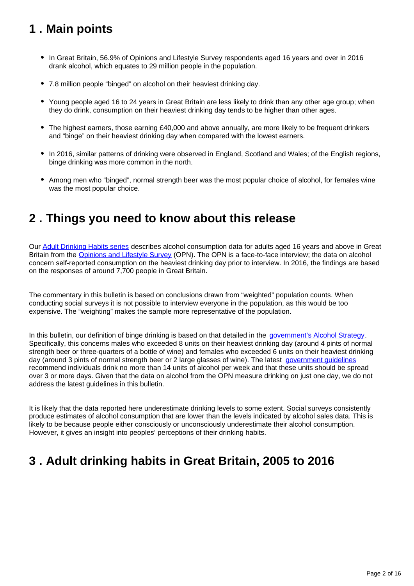## <span id="page-1-0"></span>**1 . Main points**

- In Great Britain, 56.9% of Opinions and Lifestyle Survey respondents aged 16 years and over in 2016 drank alcohol, which equates to 29 million people in the population.
- 7.8 million people "binged" on alcohol on their heaviest drinking day.
- Young people aged 16 to 24 years in Great Britain are less likely to drink than any other age group; when they do drink, consumption on their heaviest drinking day tends to be higher than other ages.
- The highest earners, those earning £40,000 and above annually, are more likely to be frequent drinkers and "binge" on their heaviest drinking day when compared with the lowest earners.
- In 2016, similar patterns of drinking were observed in England, Scotland and Wales; of the English regions, binge drinking was more common in the north.
- Among men who "binged", normal strength beer was the most popular choice of alcohol, for females wine was the most popular choice.

## <span id="page-1-1"></span>**2 . Things you need to know about this release**

Our [Adult Drinking Habits series](https://www.ons.gov.uk/peoplepopulationandcommunity/healthandsocialcare/drugusealcoholandsmoking/bulletins/opinionsandlifestylesurveyadultdrinkinghabitsingreatbritain/previousReleases) describes alcohol consumption data for adults aged 16 years and above in Great Britain from the [Opinions and Lifestyle Survey](https://www.ons.gov.uk/peoplepopulationandcommunity/healthandsocialcare/healthandlifeexpectancies/qmis/opinionsandlifestylesurveyqmi) (OPN). The OPN is a face-to-face interview; the data on alcohol concern self-reported consumption on the heaviest drinking day prior to interview. In 2016, the findings are based on the responses of around 7,700 people in Great Britain.

The commentary in this bulletin is based on conclusions drawn from "weighted" population counts. When conducting social surveys it is not possible to interview everyone in the population, as this would be too expensive. The "weighting" makes the sample more representative of the population.

In this bulletin, our definition of binge drinking is based on that detailed in the [government's Alcohol Strategy.](https://www.gov.uk/government/publications/alcohol-strategy) Specifically, this concerns males who exceeded 8 units on their heaviest drinking day (around 4 pints of normal strength beer or three-quarters of a bottle of wine) and females who exceeded 6 units on their heaviest drinking day (around 3 pints of normal strength beer or 2 large glasses of wine). The latest [government guidelines](https://www.gov.uk/government/consultations/health-risks-from-alcohol-new-guidelines) recommend individuals drink no more than 14 units of alcohol per week and that these units should be spread over 3 or more days. Given that the data on alcohol from the OPN measure drinking on just one day, we do not address the latest guidelines in this bulletin.

It is likely that the data reported here underestimate drinking levels to some extent. Social surveys consistently produce estimates of alcohol consumption that are lower than the levels indicated by alcohol sales data. This is likely to be because people either consciously or unconsciously underestimate their alcohol consumption. However, it gives an insight into peoples' perceptions of their drinking habits.

## <span id="page-1-2"></span>**3 . Adult drinking habits in Great Britain, 2005 to 2016**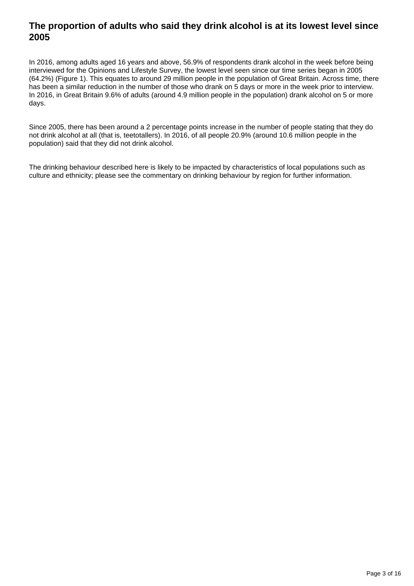### **The proportion of adults who said they drink alcohol is at its lowest level since 2005**

In 2016, among adults aged 16 years and above, 56.9% of respondents drank alcohol in the week before being interviewed for the Opinions and Lifestyle Survey, the lowest level seen since our time series began in 2005 (64.2%) (Figure 1). This equates to around 29 million people in the population of Great Britain. Across time, there has been a similar reduction in the number of those who drank on 5 days or more in the week prior to interview. In 2016, in Great Britain 9.6% of adults (around 4.9 million people in the population) drank alcohol on 5 or more days.

Since 2005, there has been around a 2 percentage points increase in the number of people stating that they do not drink alcohol at all (that is, teetotallers). In 2016, of all people 20.9% (around 10.6 million people in the population) said that they did not drink alcohol.

The drinking behaviour described here is likely to be impacted by characteristics of local populations such as culture and ethnicity; please see the commentary on drinking behaviour by region for further information.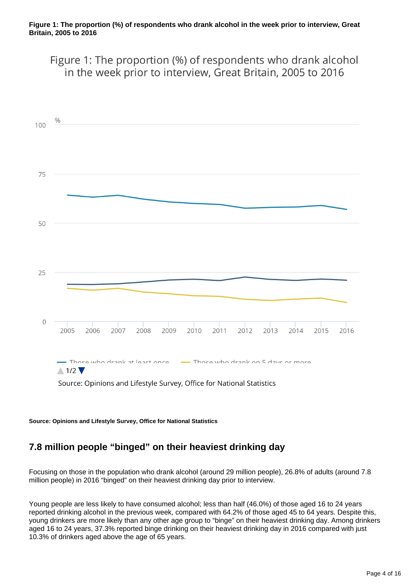Figure 1: The proportion (%) of respondents who drank alcohol in the week prior to interview, Great Britain, 2005 to 2016



**Source: Opinions and Lifestyle Survey, Office for National Statistics**

## **7.8 million people "binged" on their heaviest drinking day**

Focusing on those in the population who drank alcohol (around 29 million people), 26.8% of adults (around 7.8 million people) in 2016 "binged" on their heaviest drinking day prior to interview.

Young people are less likely to have consumed alcohol; less than half (46.0%) of those aged 16 to 24 years reported drinking alcohol in the previous week, compared with 64.2% of those aged 45 to 64 years. Despite this, young drinkers are more likely than any other age group to "binge" on their heaviest drinking day. Among drinkers aged 16 to 24 years, 37.3% reported binge drinking on their heaviest drinking day in 2016 compared with just 10.3% of drinkers aged above the age of 65 years.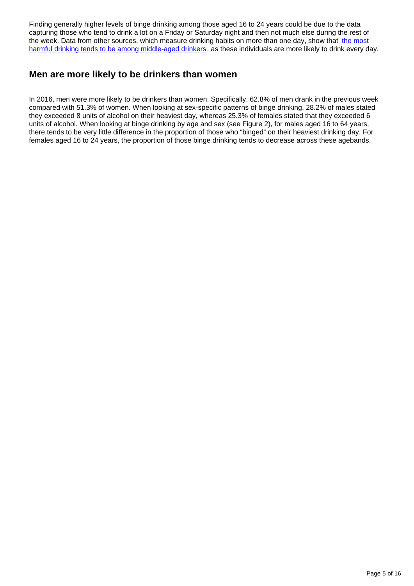Finding generally higher levels of binge drinking among those aged 16 to 24 years could be due to the data capturing those who tend to drink a lot on a Friday or Saturday night and then not much else during the rest of the week. Data from other sources, which measure drinking habits on more than one day, show that the most [harmful drinking tends to be among middle-aged drinkers,](http://www.content.digital.nhs.uk/catalogue/PUB22610/HSE2015-Adult-alc-tab.xlsx) as these individuals are more likely to drink every day.

### **Men are more likely to be drinkers than women**

In 2016, men were more likely to be drinkers than women. Specifically, 62.8% of men drank in the previous week compared with 51.3% of women. When looking at sex-specific patterns of binge drinking, 28.2% of males stated they exceeded 8 units of alcohol on their heaviest day, whereas 25.3% of females stated that they exceeded 6 units of alcohol. When looking at binge drinking by age and sex (see Figure 2), for males aged 16 to 64 years, there tends to be very little difference in the proportion of those who "binged" on their heaviest drinking day. For females aged 16 to 24 years, the proportion of those binge drinking tends to decrease across these agebands.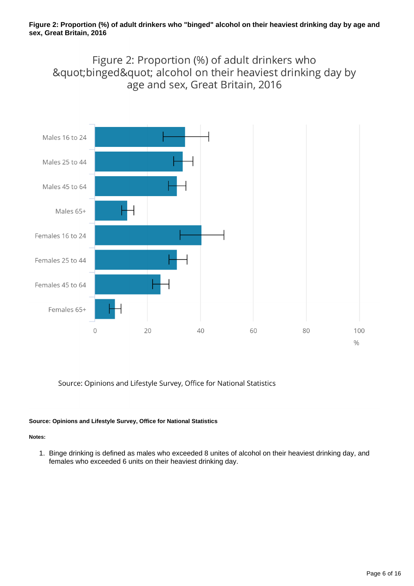## Figure 2: Proportion (%) of adult drinkers who "binged" alcohol on their heaviest drinking day by age and sex, Great Britain, 2016



Source: Opinions and Lifestyle Survey, Office for National Statistics

#### **Source: Opinions and Lifestyle Survey, Office for National Statistics**

#### **Notes:**

1. Binge drinking is defined as males who exceeded 8 unites of alcohol on their heaviest drinking day, and females who exceeded 6 units on their heaviest drinking day.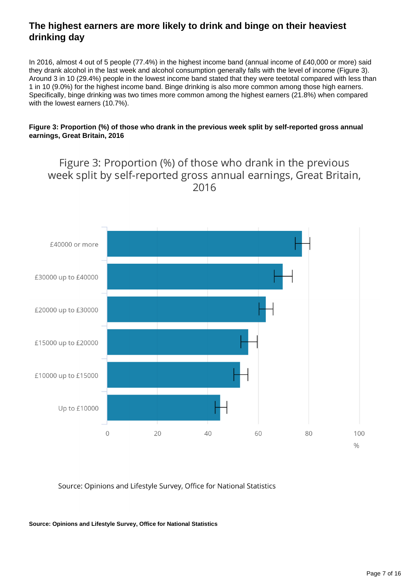## **The highest earners are more likely to drink and binge on their heaviest drinking day**

In 2016, almost 4 out of 5 people (77.4%) in the highest income band (annual income of £40,000 or more) said they drank alcohol in the last week and alcohol consumption generally falls with the level of income (Figure 3). Around 3 in 10 (29.4%) people in the lowest income band stated that they were teetotal compared with less than 1 in 10 (9.0%) for the highest income band. Binge drinking is also more common among those high earners. Specifically, binge drinking was two times more common among the highest earners (21.8%) when compared with the lowest earners (10.7%).

#### **Figure 3: Proportion (%) of those who drank in the previous week split by self-reported gross annual earnings, Great Britain, 2016**

## Figure 3: Proportion (%) of those who drank in the previous week split by self-reported gross annual earnings, Great Britain, 2016



Source: Opinions and Lifestyle Survey, Office for National Statistics

**Source: Opinions and Lifestyle Survey, Office for National Statistics**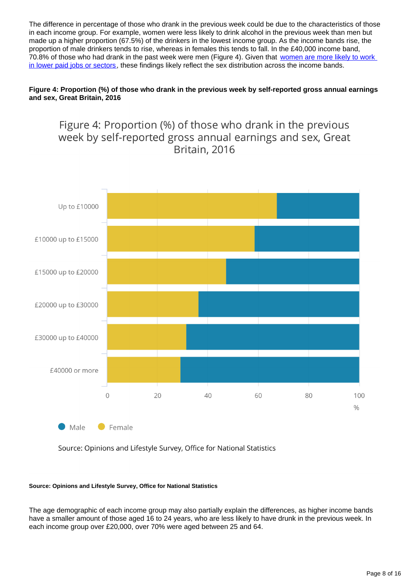The difference in percentage of those who drank in the previous week could be due to the characteristics of those in each income group. For example, women were less likely to drink alcohol in the previous week than men but made up a higher proportion (67.5%) of the drinkers in the lowest income group. As the income bands rise, the proportion of male drinkers tends to rise, whereas in females this tends to fall. In the £40,000 income band, 70.8% of those who had drank in the past week were men (Figure 4). Given that women are more likely to work [in lower paid jobs or sectors,](http://visual.ons.gov.uk/find-out-the-gender-pay-gap-for-your-job/) these findings likely reflect the sex distribution across the income bands.

#### **Figure 4: Proportion (%) of those who drank in the previous week by self-reported gross annual earnings and sex, Great Britain, 2016**



Source: Opinions and Lifestyle Survey, Office for National Statistics

#### **Source: Opinions and Lifestyle Survey, Office for National Statistics**

The age demographic of each income group may also partially explain the differences, as higher income bands have a smaller amount of those aged 16 to 24 years, who are less likely to have drunk in the previous week. In each income group over £20,000, over 70% were aged between 25 and 64.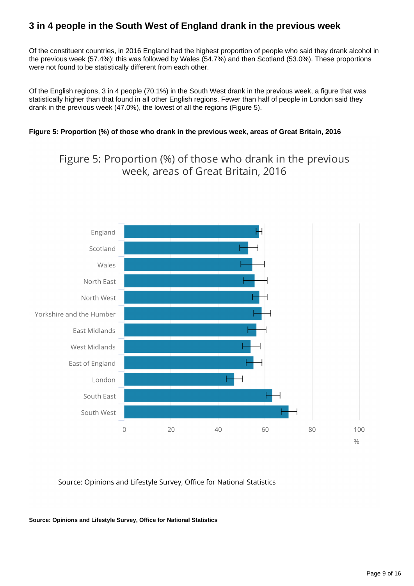## **3 in 4 people in the South West of England drank in the previous week**

Of the constituent countries, in 2016 England had the highest proportion of people who said they drank alcohol in the previous week (57.4%); this was followed by Wales (54.7%) and then Scotland (53.0%). These proportions were not found to be statistically different from each other.

Of the English regions, 3 in 4 people (70.1%) in the South West drank in the previous week, a figure that was statistically higher than that found in all other English regions. Fewer than half of people in London said they drank in the previous week (47.0%), the lowest of all the regions (Figure 5).

#### **Figure 5: Proportion (%) of those who drank in the previous week, areas of Great Britain, 2016**

Figure 5: Proportion (%) of those who drank in the previous week, areas of Great Britain, 2016



Source: Opinions and Lifestyle Survey, Office for National Statistics

**Source: Opinions and Lifestyle Survey, Office for National Statistics**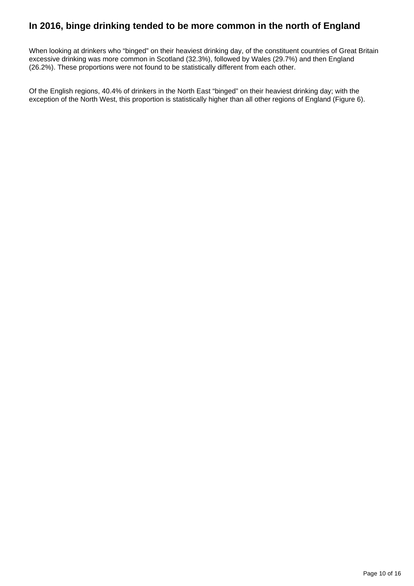### **In 2016, binge drinking tended to be more common in the north of England**

When looking at drinkers who "binged" on their heaviest drinking day, of the constituent countries of Great Britain excessive drinking was more common in Scotland (32.3%), followed by Wales (29.7%) and then England (26.2%). These proportions were not found to be statistically different from each other.

Of the English regions, 40.4% of drinkers in the North East "binged" on their heaviest drinking day; with the exception of the North West, this proportion is statistically higher than all other regions of England (Figure 6).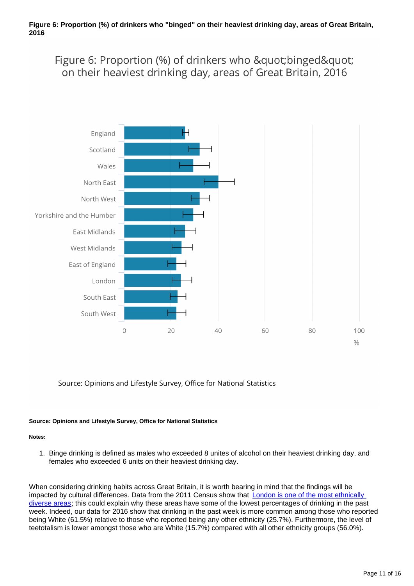Figure 6: Proportion (%) of drinkers who " binged" on their heaviest drinking day, areas of Great Britain, 2016



Source: Opinions and Lifestyle Survey, Office for National Statistics

#### **Source: Opinions and Lifestyle Survey, Office for National Statistics**

#### **Notes:**

1. Binge drinking is defined as males who exceeded 8 unites of alcohol on their heaviest drinking day, and females who exceeded 6 units on their heaviest drinking day.

When considering drinking habits across Great Britain, it is worth bearing in mind that the findings will be impacted by cultural differences. Data from the 2011 Census show that **London is one of the most ethnically** [diverse areas;](https://www.ons.gov.uk/peoplepopulationandcommunity/culturalidentity/ethnicity/articles/ethnicityandnationalidentityinenglandandwales/2012-12-11#tab-Ethnicity-across-the-English-regions-and-Wales) this could explain why these areas have some of the lowest percentages of drinking in the past week. Indeed, our data for 2016 show that drinking in the past week is more common among those who reported being White (61.5%) relative to those who reported being any other ethnicity (25.7%). Furthermore, the level of teetotalism is lower amongst those who are White (15.7%) compared with all other ethnicity groups (56.0%).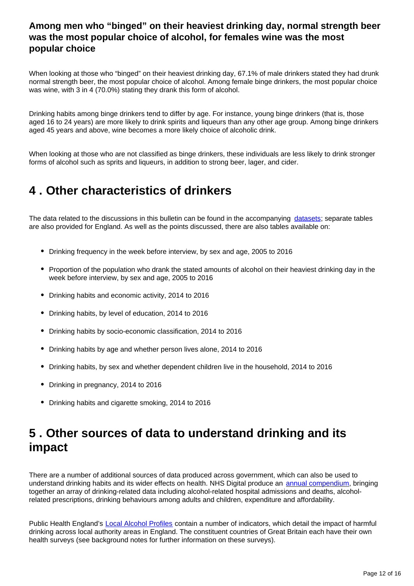### **Among men who "binged" on their heaviest drinking day, normal strength beer was the most popular choice of alcohol, for females wine was the most popular choice**

When looking at those who "binged" on their heaviest drinking day, 67.1% of male drinkers stated they had drunk normal strength beer, the most popular choice of alcohol. Among female binge drinkers, the most popular choice was wine, with 3 in 4 (70.0%) stating they drank this form of alcohol.

Drinking habits among binge drinkers tend to differ by age. For instance, young binge drinkers (that is, those aged 16 to 24 years) are more likely to drink spirits and liqueurs than any other age group. Among binge drinkers aged 45 years and above, wine becomes a more likely choice of alcoholic drink.

When looking at those who are not classified as binge drinkers, these individuals are less likely to drink stronger forms of alcohol such as sprits and liqueurs, in addition to strong beer, lager, and cider.

## <span id="page-11-0"></span>**4 . Other characteristics of drinkers**

The data related to the discussions in this bulletin can be found in the accompanying [datasets;](https://www.ons.gov.uk/peoplepopulationandcommunity/healthandsocialcare/drugusealcoholandsmoking/datasets/adultdrinkinghabits) separate tables are also provided for England. As well as the points discussed, there are also tables available on:

- Drinking frequency in the week before interview, by sex and age, 2005 to 2016
- Proportion of the population who drank the stated amounts of alcohol on their heaviest drinking day in the week before interview, by sex and age, 2005 to 2016
- Drinking habits and economic activity, 2014 to 2016
- Drinking habits, by level of education, 2014 to 2016
- Drinking habits by socio-economic classification, 2014 to 2016
- Drinking habits by age and whether person lives alone, 2014 to 2016
- Drinking habits, by sex and whether dependent children live in the household, 2014 to 2016
- Drinking in pregnancy, 2014 to 2016
- Drinking habits and cigarette smoking, 2014 to 2016

## <span id="page-11-1"></span>**5 . Other sources of data to understand drinking and its impact**

There are a number of additional sources of data produced across government, which can also be used to understand drinking habits and its wider effects on health. NHS Digital produce an [annual compendium](http://digital.nhs.uk/pubs/alcohol17), bringing together an array of drinking-related data including alcohol-related hospital admissions and deaths, alcoholrelated prescriptions, drinking behaviours among adults and children, expenditure and affordability.

Public Health England's [Local Alcohol Profiles](https://fingertips.phe.org.uk/profile/local-alcohol-profiles) contain a number of indicators, which detail the impact of harmful drinking across local authority areas in England. The constituent countries of Great Britain each have their own health surveys (see background notes for further information on these surveys).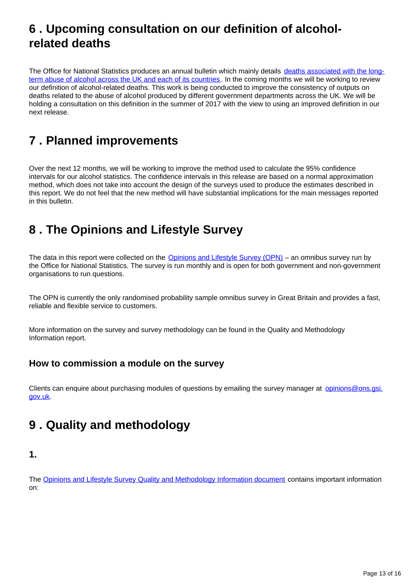## <span id="page-12-0"></span>**6 . Upcoming consultation on our definition of alcoholrelated deaths**

The Office for National Statistics produces an annual bulletin which mainly details [deaths associated with the long](https://www.ons.gov.uk/peoplepopulationandcommunity/healthandsocialcare/causesofdeath/bulletins/alcoholrelateddeathsintheunitedkingdom/registeredin2015)[term abuse of alcohol across the UK and each of its countries](https://www.ons.gov.uk/peoplepopulationandcommunity/healthandsocialcare/causesofdeath/bulletins/alcoholrelateddeathsintheunitedkingdom/registeredin2015). In the coming months we will be working to review our definition of alcohol-related deaths. This work is being conducted to improve the consistency of outputs on deaths related to the abuse of alcohol produced by different government departments across the UK. We will be holding a consultation on this definition in the summer of 2017 with the view to using an improved definition in our next release.

## <span id="page-12-1"></span>**7 . Planned improvements**

Over the next 12 months, we will be working to improve the method used to calculate the 95% confidence intervals for our alcohol statistics. The confidence intervals in this release are based on a normal approximation method, which does not take into account the design of the surveys used to produce the estimates described in this report. We do not feel that the new method will have substantial implications for the main messages reported in this bulletin.

## <span id="page-12-2"></span>**8 . The Opinions and Lifestyle Survey**

The data in this report were collected on the [Opinions and Lifestyle Survey \(OPN\)](http://www.ons.gov.uk/ons/about-ons/products-and-services/opn/index.html) – an omnibus survey run by the Office for National Statistics. The survey is run monthly and is open for both government and non-government organisations to run questions.

The OPN is currently the only randomised probability sample omnibus survey in Great Britain and provides a fast, reliable and flexible service to customers.

More information on the survey and survey methodology can be found in the Quality and Methodology Information report.

### **How to commission a module on the survey**

Clients can enquire about purchasing modules of questions by emailing the survey manager at opinions@ons.gsi. gov.uk.

## <span id="page-12-3"></span>**9 . Quality and methodology**

### **1.**

The [Opinions and Lifestyle Survey Quality and Methodology Information document](https://www.ons.gov.uk/peoplepopulationandcommunity/healthandsocialcare/healthandlifeexpectancies/qmis/opinionsandlifestylesurveyqmi) contains important information on: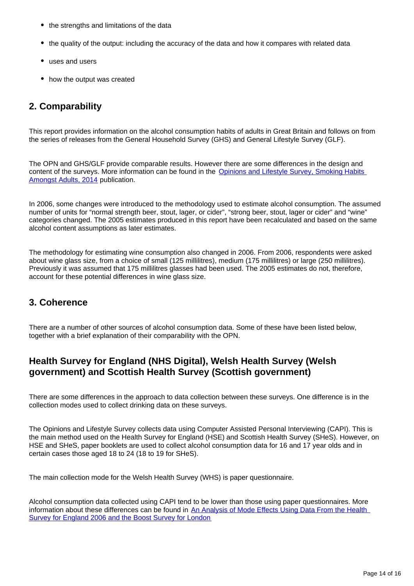- the strengths and limitations of the data
- the quality of the output: including the accuracy of the data and how it compares with related data
- uses and users
- how the output was created

## **2. Comparability**

This report provides information on the alcohol consumption habits of adults in Great Britain and follows on from the series of releases from the General Household Survey (GHS) and General Lifestyle Survey (GLF).

The OPN and GHS/GLF provide comparable results. However there are some differences in the design and content of the surveys. More information can be found in the Opinions and Lifestyle Survey, Smoking Habits [Amongst Adults, 2014](https://www.ons.gov.uk/peoplepopulationandcommunity/healthandsocialcare/healthandlifeexpectancies/bulletins/adultsmokinghabitsingreatbritain/2014) publication.

In 2006, some changes were introduced to the methodology used to estimate alcohol consumption. The assumed number of units for "normal strength beer, stout, lager, or cider", "strong beer, stout, lager or cider" and "wine" categories changed. The 2005 estimates produced in this report have been recalculated and based on the same alcohol content assumptions as later estimates.

The methodology for estimating wine consumption also changed in 2006. From 2006, respondents were asked about wine glass size, from a choice of small (125 millilitres), medium (175 millilitres) or large (250 millilitres). Previously it was assumed that 175 millilitres glasses had been used. The 2005 estimates do not, therefore, account for these potential differences in wine glass size.

### **3. Coherence**

There are a number of other sources of alcohol consumption data. Some of these have been listed below, together with a brief explanation of their comparability with the OPN.

## **Health Survey for England (NHS Digital), Welsh Health Survey (Welsh government) and Scottish Health Survey (Scottish government)**

There are some differences in the approach to data collection between these surveys. One difference is in the collection modes used to collect drinking data on these surveys.

The Opinions and Lifestyle Survey collects data using Computer Assisted Personal Interviewing (CAPI). This is the main method used on the Health Survey for England (HSE) and Scottish Health Survey (SHeS). However, on HSE and SHeS, paper booklets are used to collect alcohol consumption data for 16 and 17 year olds and in certain cases those aged 18 to 24 (18 to 19 for SHeS).

The main collection mode for the Welsh Health Survey (WHS) is paper questionnaire.

Alcohol consumption data collected using CAPI tend to be lower than those using paper questionnaires. More information about these differences can be found in [An Analysis of Mode Effects Using Data From the Health](http://www.hscic.gov.uk/catalogue/PUB05851/anal-mode-effe-data-heal-serv-eng-06-boos.pdf)  [Survey for England 2006 and the Boost Survey for London](http://www.hscic.gov.uk/catalogue/PUB05851/anal-mode-effe-data-heal-serv-eng-06-boos.pdf)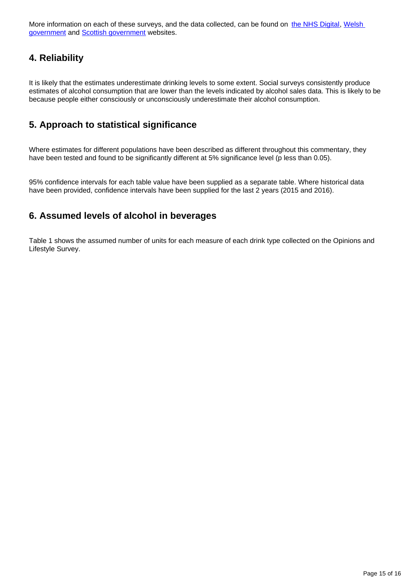More information on each of these surveys, and the data collected, can be found on [the NHS Digital,](http://content.digital.nhs.uk/healthsurveyengland) Welsh [government](http://gov.wales/statistics-and-research/welsh-health-survey/?lang=en) and [Scottish government](http://www.gov.scot/Topics/Statistics/Browse/Health/scottish-health-survey) websites.

## **4. Reliability**

It is likely that the estimates underestimate drinking levels to some extent. Social surveys consistently produce estimates of alcohol consumption that are lower than the levels indicated by alcohol sales data. This is likely to be because people either consciously or unconsciously underestimate their alcohol consumption.

### **5. Approach to statistical significance**

Where estimates for different populations have been described as different throughout this commentary, they have been tested and found to be significantly different at 5% significance level (p less than 0.05).

95% confidence intervals for each table value have been supplied as a separate table. Where historical data have been provided, confidence intervals have been supplied for the last 2 years (2015 and 2016).

### **6. Assumed levels of alcohol in beverages**

Table 1 shows the assumed number of units for each measure of each drink type collected on the Opinions and Lifestyle Survey.